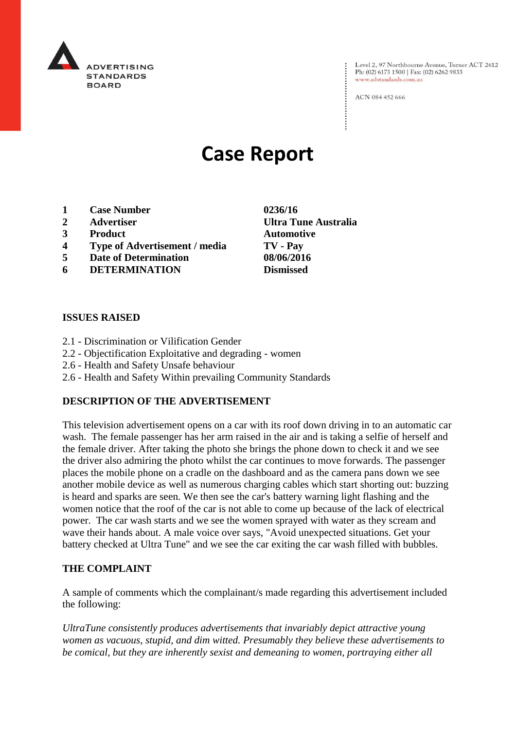

Level 2, 97 Northbourne Avenue, Turner ACT 2612 Ph: (02) 6173 1500 | Fax: (02) 6262 9833 www.adstandards.com.au

ACN 084 452 666

# **Case Report**

- **1 Case Number 0236/16**
- **2 Advertiser Ultra Tune Australia**
- **3 Product Automotive**
- **4 Type of Advertisement / media TV - Pay**
- **5 Date of Determination 08/06/2016**
- **6 DETERMINATION Dismissed**

#### **ISSUES RAISED**

- 2.1 Discrimination or Vilification Gender
- 2.2 Objectification Exploitative and degrading women
- 2.6 Health and Safety Unsafe behaviour
- 2.6 Health and Safety Within prevailing Community Standards

#### **DESCRIPTION OF THE ADVERTISEMENT**

This television advertisement opens on a car with its roof down driving in to an automatic car wash. The female passenger has her arm raised in the air and is taking a selfie of herself and the female driver. After taking the photo she brings the phone down to check it and we see the driver also admiring the photo whilst the car continues to move forwards. The passenger places the mobile phone on a cradle on the dashboard and as the camera pans down we see another mobile device as well as numerous charging cables which start shorting out: buzzing is heard and sparks are seen. We then see the car's battery warning light flashing and the women notice that the roof of the car is not able to come up because of the lack of electrical power. The car wash starts and we see the women sprayed with water as they scream and wave their hands about. A male voice over says, "Avoid unexpected situations. Get your battery checked at Ultra Tune" and we see the car exiting the car wash filled with bubbles.

#### **THE COMPLAINT**

A sample of comments which the complainant/s made regarding this advertisement included the following:

*UltraTune consistently produces advertisements that invariably depict attractive young women as vacuous, stupid, and dim witted. Presumably they believe these advertisements to be comical, but they are inherently sexist and demeaning to women, portraying either all*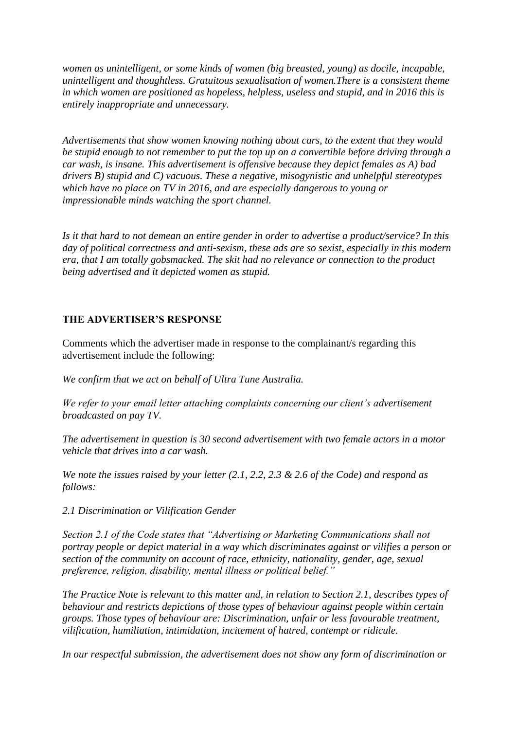*women as unintelligent, or some kinds of women (big breasted, young) as docile, incapable, unintelligent and thoughtless. Gratuitous sexualisation of women.There is a consistent theme in which women are positioned as hopeless, helpless, useless and stupid, and in 2016 this is entirely inappropriate and unnecessary.* 

*Advertisements that show women knowing nothing about cars, to the extent that they would be stupid enough to not remember to put the top up on a convertible before driving through a car wash, is insane. This advertisement is offensive because they depict females as A) bad drivers B) stupid and C) vacuous. These a negative, misogynistic and unhelpful stereotypes which have no place on TV in 2016, and are especially dangerous to young or impressionable minds watching the sport channel.* 

*Is it that hard to not demean an entire gender in order to advertise a product/service? In this day of political correctness and anti-sexism, these ads are so sexist, especially in this modern era, that I am totally gobsmacked. The skit had no relevance or connection to the product being advertised and it depicted women as stupid.* 

### **THE ADVERTISER'S RESPONSE**

Comments which the advertiser made in response to the complainant/s regarding this advertisement include the following:

*We confirm that we act on behalf of Ultra Tune Australia.*

*We refer to your email letter attaching complaints concerning our client's advertisement broadcasted on pay TV.*

*The advertisement in question is 30 second advertisement with two female actors in a motor vehicle that drives into a car wash.* 

*We note the issues raised by your letter (2.1, 2.2, 2.3 & 2.6 of the Code) and respond as follows:*

*2.1 Discrimination or Vilification Gender*

*Section 2.1 of the Code states that "Advertising or Marketing Communications shall not portray people or depict material in a way which discriminates against or vilifies a person or section of the community on account of race, ethnicity, nationality, gender, age, sexual preference, religion, disability, mental illness or political belief."*

*The Practice Note is relevant to this matter and, in relation to Section 2.1, describes types of behaviour and restricts depictions of those types of behaviour against people within certain groups. Those types of behaviour are: Discrimination, unfair or less favourable treatment, vilification, humiliation, intimidation, incitement of hatred, contempt or ridicule.*

*In our respectful submission, the advertisement does not show any form of discrimination or*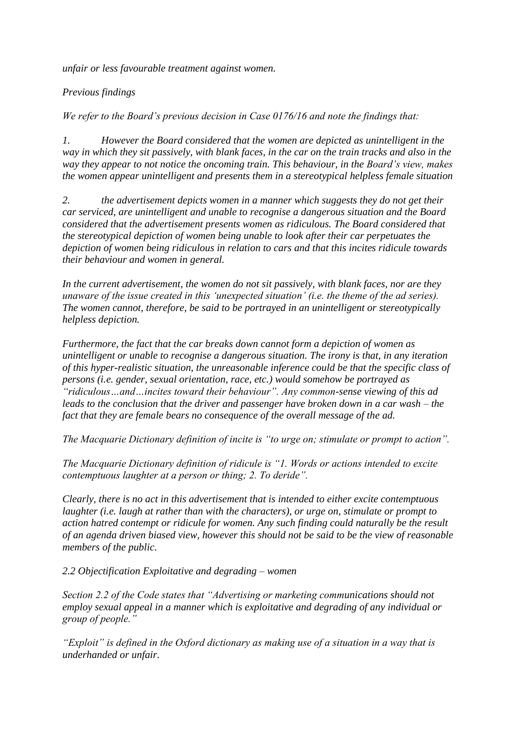*unfair or less favourable treatment against women.*

## *Previous findings*

*We refer to the Board's previous decision in Case 0176/16 and note the findings that:*

*1. However the Board considered that the women are depicted as unintelligent in the way in which they sit passively, with blank faces, in the car on the train tracks and also in the way they appear to not notice the oncoming train. This behaviour, in the Board's view, makes the women appear unintelligent and presents them in a stereotypical helpless female situation*

*2. the advertisement depicts women in a manner which suggests they do not get their car serviced, are unintelligent and unable to recognise a dangerous situation and the Board considered that the advertisement presents women as ridiculous. The Board considered that the stereotypical depiction of women being unable to look after their car perpetuates the depiction of women being ridiculous in relation to cars and that this incites ridicule towards their behaviour and women in general.* 

*In the current advertisement, the women do not sit passively, with blank faces, nor are they unaware of the issue created in this 'unexpected situation' (i.e. the theme of the ad series). The women cannot, therefore, be said to be portrayed in an unintelligent or stereotypically helpless depiction.*

*Furthermore, the fact that the car breaks down cannot form a depiction of women as unintelligent or unable to recognise a dangerous situation. The irony is that, in any iteration of this hyper-realistic situation, the unreasonable inference could be that the specific class of persons (i.e. gender, sexual orientation, race, etc.) would somehow be portrayed as "ridiculous…and…incites toward their behaviour". Any common-sense viewing of this ad leads to the conclusion that the driver and passenger have broken down in a car wash – the fact that they are female bears no consequence of the overall message of the ad.*

*The Macquarie Dictionary definition of incite is "to urge on; stimulate or prompt to action".*

*The Macquarie Dictionary definition of ridicule is "1. Words or actions intended to excite contemptuous laughter at a person or thing; 2. To deride".*

*Clearly, there is no act in this advertisement that is intended to either excite contemptuous laughter (i.e. laugh at rather than with the characters), or urge on, stimulate or prompt to action hatred contempt or ridicule for women. Any such finding could naturally be the result of an agenda driven biased view, however this should not be said to be the view of reasonable members of the public.*

*2.2 Objectification Exploitative and degrading – women*

*Section 2.2 of the Code states that "Advertising or marketing communications should not employ sexual appeal in a manner which is exploitative and degrading of any individual or group of people."*

*"Exploit" is defined in the Oxford dictionary as making use of a situation in a way that is underhanded or unfair.*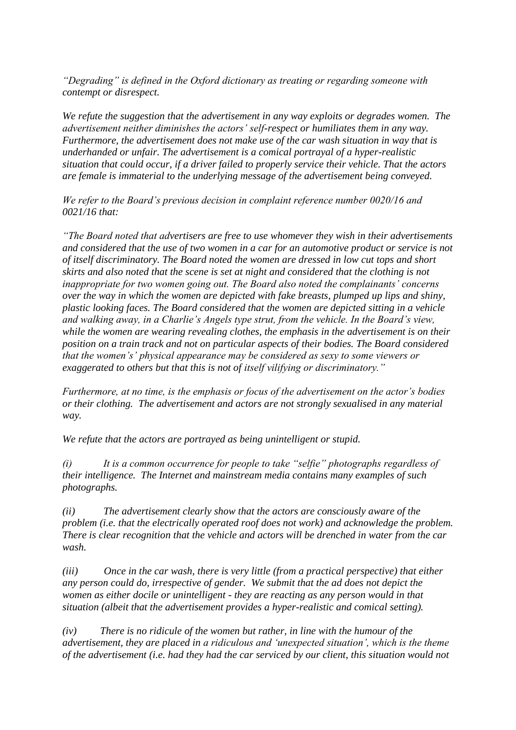*"Degrading" is defined in the Oxford dictionary as treating or regarding someone with contempt or disrespect.*

*We refute the suggestion that the advertisement in any way exploits or degrades women. The advertisement neither diminishes the actors' self-respect or humiliates them in any way. Furthermore, the advertisement does not make use of the car wash situation in way that is underhanded or unfair. The advertisement is a comical portrayal of a hyper-realistic situation that could occur, if a driver failed to properly service their vehicle. That the actors are female is immaterial to the underlying message of the advertisement being conveyed.*

*We refer to the Board's previous decision in complaint reference number 0020/16 and 0021/16 that:*

*"The Board noted that advertisers are free to use whomever they wish in their advertisements and considered that the use of two women in a car for an automotive product or service is not of itself discriminatory. The Board noted the women are dressed in low cut tops and short skirts and also noted that the scene is set at night and considered that the clothing is not inappropriate for two women going out. The Board also noted the complainants' concerns over the way in which the women are depicted with fake breasts, plumped up lips and shiny, plastic looking faces. The Board considered that the women are depicted sitting in a vehicle and walking away, in a Charlie's Angels type strut, from the vehicle. In the Board's view, while the women are wearing revealing clothes, the emphasis in the advertisement is on their position on a train track and not on particular aspects of their bodies. The Board considered that the women's' physical appearance may be considered as sexy to some viewers or exaggerated to others but that this is not of itself vilifying or discriminatory."*

*Furthermore, at no time, is the emphasis or focus of the advertisement on the actor's bodies or their clothing. The advertisement and actors are not strongly sexualised in any material way.*

*We refute that the actors are portrayed as being unintelligent or stupid.* 

*(i) It is a common occurrence for people to take "selfie" photographs regardless of their intelligence. The Internet and mainstream media contains many examples of such photographs.* 

*(ii) The advertisement clearly show that the actors are consciously aware of the problem (i.e. that the electrically operated roof does not work) and acknowledge the problem. There is clear recognition that the vehicle and actors will be drenched in water from the car wash.*

*(iii) Once in the car wash, there is very little (from a practical perspective) that either any person could do, irrespective of gender. We submit that the ad does not depict the women as either docile or unintelligent - they are reacting as any person would in that situation (albeit that the advertisement provides a hyper-realistic and comical setting).*

*(iv) There is no ridicule of the women but rather, in line with the humour of the advertisement, they are placed in a ridiculous and 'unexpected situation', which is the theme of the advertisement (i.e. had they had the car serviced by our client, this situation would not*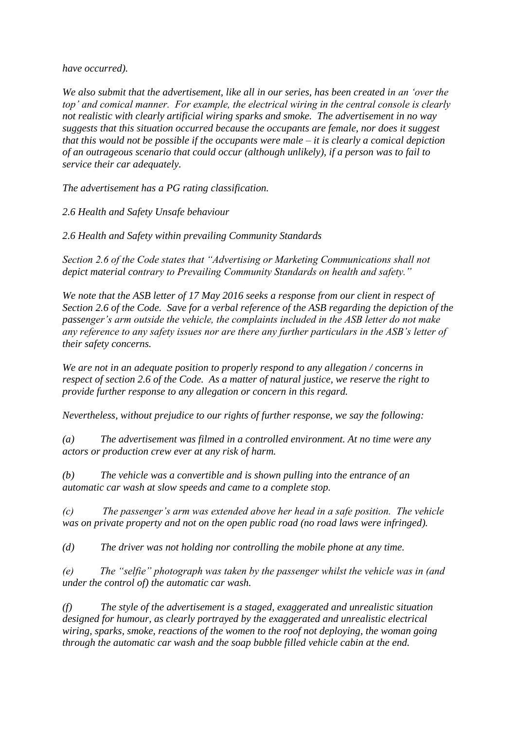*have occurred).*

*We also submit that the advertisement, like all in our series, has been created in an 'over the top' and comical manner. For example, the electrical wiring in the central console is clearly not realistic with clearly artificial wiring sparks and smoke. The advertisement in no way suggests that this situation occurred because the occupants are female, nor does it suggest that this would not be possible if the occupants were male – it is clearly a comical depiction of an outrageous scenario that could occur (although unlikely), if a person was to fail to service their car adequately.*

*The advertisement has a PG rating classification.*

*2.6 Health and Safety Unsafe behaviour*

*2.6 Health and Safety within prevailing Community Standards*

*Section 2.6 of the Code states that "Advertising or Marketing Communications shall not depict material contrary to Prevailing Community Standards on health and safety."*

*We note that the ASB letter of 17 May 2016 seeks a response from our client in respect of Section 2.6 of the Code. Save for a verbal reference of the ASB regarding the depiction of the passenger's arm outside the vehicle, the complaints included in the ASB letter do not make any reference to any safety issues nor are there any further particulars in the ASB's letter of their safety concerns.*

*We are not in an adequate position to properly respond to any allegation / concerns in respect of section 2.6 of the Code. As a matter of natural justice, we reserve the right to provide further response to any allegation or concern in this regard.*

*Nevertheless, without prejudice to our rights of further response, we say the following:*

*(a) The advertisement was filmed in a controlled environment. At no time were any actors or production crew ever at any risk of harm.*

*(b) The vehicle was a convertible and is shown pulling into the entrance of an automatic car wash at slow speeds and came to a complete stop.* 

*(c) The passenger's arm was extended above her head in a safe position. The vehicle was on private property and not on the open public road (no road laws were infringed).* 

*(d) The driver was not holding nor controlling the mobile phone at any time.*

*(e) The "selfie" photograph was taken by the passenger whilst the vehicle was in (and under the control of) the automatic car wash.*

*(f) The style of the advertisement is a staged, exaggerated and unrealistic situation designed for humour, as clearly portrayed by the exaggerated and unrealistic electrical wiring, sparks, smoke, reactions of the women to the roof not deploying, the woman going through the automatic car wash and the soap bubble filled vehicle cabin at the end.*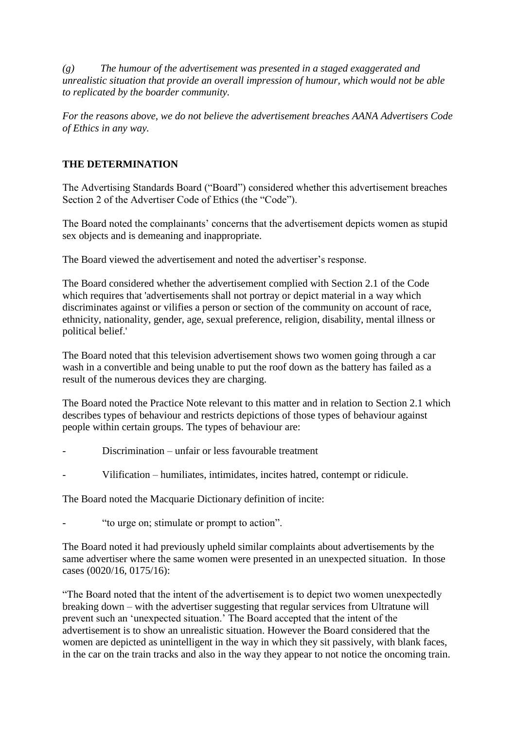*(g) The humour of the advertisement was presented in a staged exaggerated and unrealistic situation that provide an overall impression of humour, which would not be able to replicated by the boarder community.* 

*For the reasons above, we do not believe the advertisement breaches AANA Advertisers Code of Ethics in any way.*

## **THE DETERMINATION**

The Advertising Standards Board ("Board") considered whether this advertisement breaches Section 2 of the Advertiser Code of Ethics (the "Code").

The Board noted the complainants' concerns that the advertisement depicts women as stupid sex objects and is demeaning and inappropriate.

The Board viewed the advertisement and noted the advertiser's response.

The Board considered whether the advertisement complied with Section 2.1 of the Code which requires that 'advertisements shall not portray or depict material in a way which discriminates against or vilifies a person or section of the community on account of race, ethnicity, nationality, gender, age, sexual preference, religion, disability, mental illness or political belief.'

The Board noted that this television advertisement shows two women going through a car wash in a convertible and being unable to put the roof down as the battery has failed as a result of the numerous devices they are charging.

The Board noted the Practice Note relevant to this matter and in relation to Section 2.1 which describes types of behaviour and restricts depictions of those types of behaviour against people within certain groups. The types of behaviour are:

- Discrimination unfair or less favourable treatment
- Vilification humiliates, intimidates, incites hatred, contempt or ridicule.

The Board noted the Macquarie Dictionary definition of incite:

- "to urge on; stimulate or prompt to action".

The Board noted it had previously upheld similar complaints about advertisements by the same advertiser where the same women were presented in an unexpected situation. In those cases (0020/16, 0175/16):

"The Board noted that the intent of the advertisement is to depict two women unexpectedly breaking down – with the advertiser suggesting that regular services from Ultratune will prevent such an 'unexpected situation.' The Board accepted that the intent of the advertisement is to show an unrealistic situation. However the Board considered that the women are depicted as unintelligent in the way in which they sit passively, with blank faces, in the car on the train tracks and also in the way they appear to not notice the oncoming train.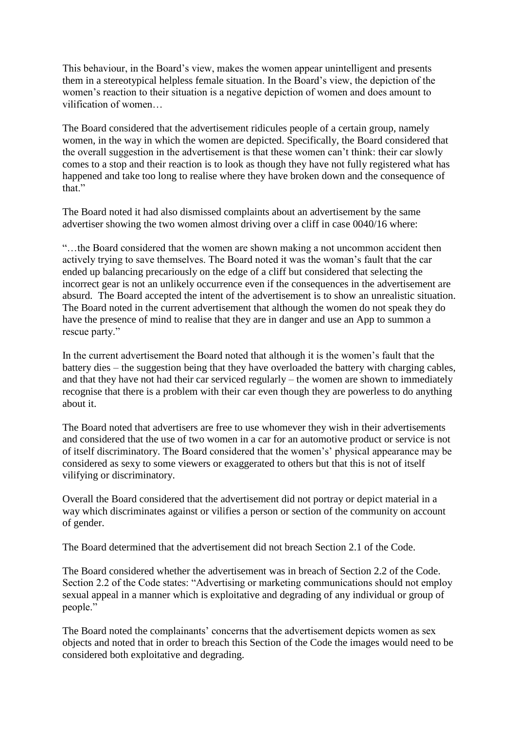This behaviour, in the Board's view, makes the women appear unintelligent and presents them in a stereotypical helpless female situation. In the Board's view, the depiction of the women's reaction to their situation is a negative depiction of women and does amount to vilification of women…

The Board considered that the advertisement ridicules people of a certain group, namely women, in the way in which the women are depicted. Specifically, the Board considered that the overall suggestion in the advertisement is that these women can't think: their car slowly comes to a stop and their reaction is to look as though they have not fully registered what has happened and take too long to realise where they have broken down and the consequence of that"

The Board noted it had also dismissed complaints about an advertisement by the same advertiser showing the two women almost driving over a cliff in case 0040/16 where:

"…the Board considered that the women are shown making a not uncommon accident then actively trying to save themselves. The Board noted it was the woman's fault that the car ended up balancing precariously on the edge of a cliff but considered that selecting the incorrect gear is not an unlikely occurrence even if the consequences in the advertisement are absurd. The Board accepted the intent of the advertisement is to show an unrealistic situation. The Board noted in the current advertisement that although the women do not speak they do have the presence of mind to realise that they are in danger and use an App to summon a rescue party."

In the current advertisement the Board noted that although it is the women's fault that the battery dies – the suggestion being that they have overloaded the battery with charging cables, and that they have not had their car serviced regularly – the women are shown to immediately recognise that there is a problem with their car even though they are powerless to do anything about it.

The Board noted that advertisers are free to use whomever they wish in their advertisements and considered that the use of two women in a car for an automotive product or service is not of itself discriminatory. The Board considered that the women's' physical appearance may be considered as sexy to some viewers or exaggerated to others but that this is not of itself vilifying or discriminatory.

Overall the Board considered that the advertisement did not portray or depict material in a way which discriminates against or vilifies a person or section of the community on account of gender.

The Board determined that the advertisement did not breach Section 2.1 of the Code.

The Board considered whether the advertisement was in breach of Section 2.2 of the Code. Section 2.2 of the Code states: "Advertising or marketing communications should not employ sexual appeal in a manner which is exploitative and degrading of any individual or group of people."

The Board noted the complainants' concerns that the advertisement depicts women as sex objects and noted that in order to breach this Section of the Code the images would need to be considered both exploitative and degrading.